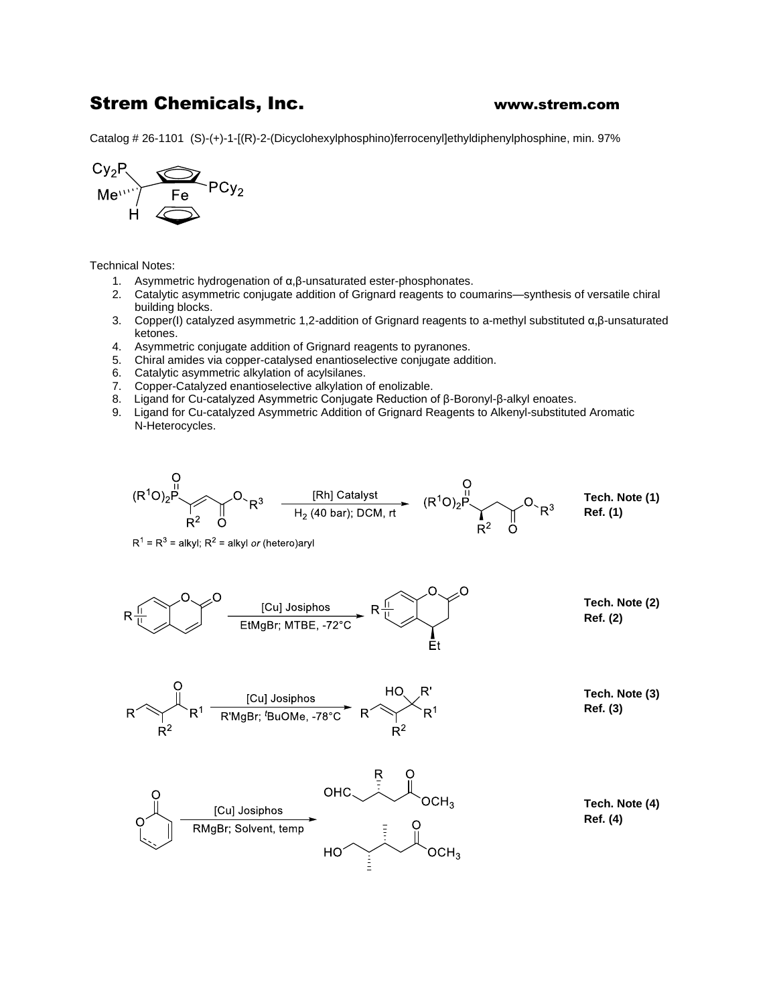## Strem Chemicals, Inc. www.strem.com

Catalog # 26-1101 (S)-(+)-1-[(R)-2-(Dicyclohexylphosphino)ferrocenyl]ethyldiphenylphosphine, min. 97%



Technical Notes:

- 1. Asymmetric hydrogenation of α,β-unsaturated ester-phosphonates.
- 2. Catalytic asymmetric conjugate addition of Grignard reagents to coumarins—synthesis of versatile chiral building blocks.
- 3. Copper(I) catalyzed asymmetric 1,2-addition of Grignard reagents to a-methyl substituted α,β-unsaturated ketones.
- 4. Asymmetric conjugate addition of Grignard reagents to pyranones.
- 5. Chiral amides via copper-catalysed enantioselective conjugate addition.
- 6. Catalytic asymmetric alkylation of acylsilanes.
- 7. Copper-Catalyzed enantioselective alkylation of enolizable.
- 8. Ligand for Cu-catalyzed Asymmetric Conjugate Reduction of β-Boronyl-β-alkyl enoates.
- 9. Ligand for Cu-catalyzed Asymmetric Addition of Grignard Reagents to Alkenyl-substituted Aromatic N-Heterocycles.



 $R^1 = R^3$  = alkyl;  $R^2$  = alkyl or (hetero)aryl